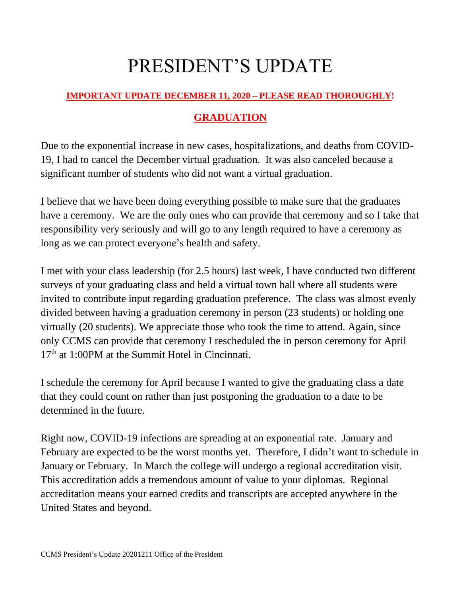## PRESIDENT'S UPDATE

## **IMPORTANT UPDATE DECEMBER 11, 2020 – PLEASE READ THOROUGHLY!**

## **GRADUATION**

Due to the exponential increase in new cases, hospitalizations, and deaths from COVID-19, I had to cancel the December virtual graduation. It was also canceled because a significant number of students who did not want a virtual graduation.

I believe that we have been doing everything possible to make sure that the graduates have a ceremony. We are the only ones who can provide that ceremony and so I take that responsibility very seriously and will go to any length required to have a ceremony as long as we can protect everyone's health and safety.

I met with your class leadership (for 2.5 hours) last week, I have conducted two different surveys of your graduating class and held a virtual town hall where all students were invited to contribute input regarding graduation preference. The class was almost evenly divided between having a graduation ceremony in person (23 students) or holding one virtually (20 students). We appreciate those who took the time to attend. Again, since only CCMS can provide that ceremony I rescheduled the in person ceremony for April  $17<sup>th</sup>$  at 1:00PM at the Summit Hotel in Cincinnati.

I schedule the ceremony for April because I wanted to give the graduating class a date that they could count on rather than just postponing the graduation to a date to be determined in the future.

Right now, COVID-19 infections are spreading at an exponential rate. January and February are expected to be the worst months yet. Therefore, I didn't want to schedule in January or February. In March the college will undergo a regional accreditation visit. This accreditation adds a tremendous amount of value to your diplomas. Regional accreditation means your earned credits and transcripts are accepted anywhere in the United States and beyond.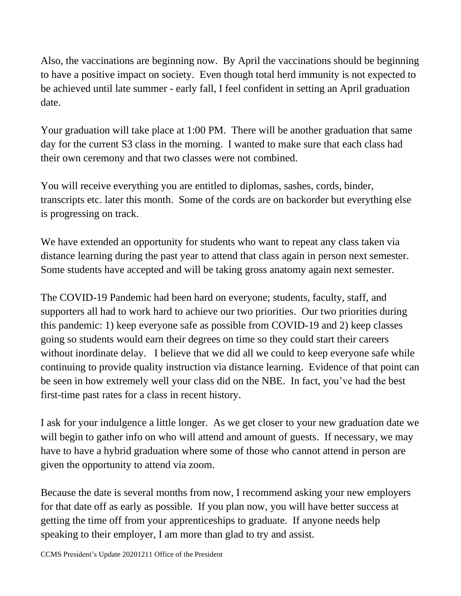Also, the vaccinations are beginning now. By April the vaccinations should be beginning to have a positive impact on society. Even though total herd immunity is not expected to be achieved until late summer - early fall, I feel confident in setting an April graduation date.

Your graduation will take place at 1:00 PM. There will be another graduation that same day for the current S3 class in the morning. I wanted to make sure that each class had their own ceremony and that two classes were not combined.

You will receive everything you are entitled to diplomas, sashes, cords, binder, transcripts etc. later this month. Some of the cords are on backorder but everything else is progressing on track.

We have extended an opportunity for students who want to repeat any class taken via distance learning during the past year to attend that class again in person next semester. Some students have accepted and will be taking gross anatomy again next semester.

The COVID-19 Pandemic had been hard on everyone; students, faculty, staff, and supporters all had to work hard to achieve our two priorities. Our two priorities during this pandemic: 1) keep everyone safe as possible from COVID-19 and 2) keep classes going so students would earn their degrees on time so they could start their careers without inordinate delay. I believe that we did all we could to keep everyone safe while continuing to provide quality instruction via distance learning. Evidence of that point can be seen in how extremely well your class did on the NBE. In fact, you've had the best first-time past rates for a class in recent history.

I ask for your indulgence a little longer. As we get closer to your new graduation date we will begin to gather info on who will attend and amount of guests. If necessary, we may have to have a hybrid graduation where some of those who cannot attend in person are given the opportunity to attend via zoom.

Because the date is several months from now, I recommend asking your new employers for that date off as early as possible. If you plan now, you will have better success at getting the time off from your apprenticeships to graduate. If anyone needs help speaking to their employer, I am more than glad to try and assist.